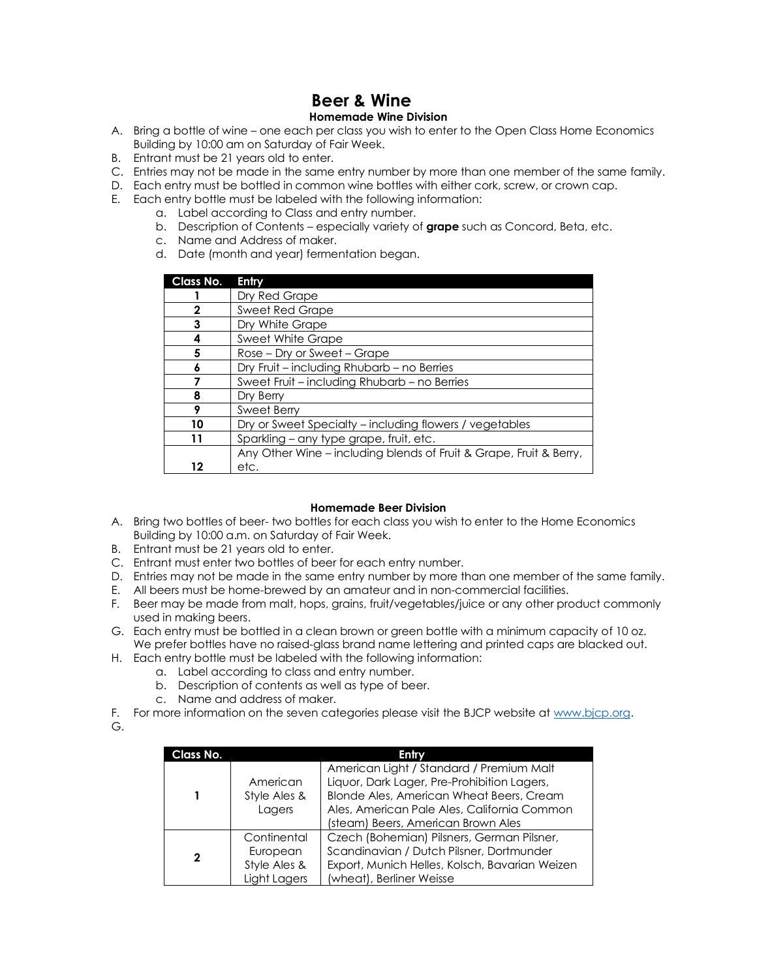## **Beer & Wine Homemade Wine Division**

- A. Bring a bottle of wine one each per class you wish to enter to the Open Class Home Economics Building by 10:00 am on Saturday of Fair Week.
- B. Entrant must be 21 years old to enter.
- C. Entries may not be made in the same entry number by more than one member of the same family.
- D. Each entry must be bottled in common wine bottles with either cork, screw, or crown cap.
- E. Each entry bottle must be labeled with the following information:
	- a. Label according to Class and entry number.
	- b. Description of Contents especially variety of **grape** such as Concord, Beta, etc.
	- c. Name and Address of maker.
	- d. Date (month and year) fermentation began.

| Class No. | Entry                                                              |  |  |
|-----------|--------------------------------------------------------------------|--|--|
|           | Dry Red Grape                                                      |  |  |
| 2         | <b>Sweet Red Grape</b>                                             |  |  |
| 3         | Dry White Grape                                                    |  |  |
| 4         | Sweet White Grape                                                  |  |  |
| 5         | Rose – Dry or Sweet – Grape                                        |  |  |
| 6         | Dry Fruit - including Rhubarb - no Berries                         |  |  |
|           | Sweet Fruit - including Rhubarb - no Berries                       |  |  |
| 8         | Dry Berry                                                          |  |  |
| 9         | Sweet Berry                                                        |  |  |
| 10        | Dry or Sweet Specialty - including flowers / vegetables            |  |  |
|           | Sparkling - any type grape, fruit, etc.                            |  |  |
|           | Any Other Wine – including blends of Fruit & Grape, Fruit & Berry, |  |  |
| 12        | etc.                                                               |  |  |

## **Homemade Beer Division**

- A. Bring two bottles of beer- two bottles for each class you wish to enter to the Home Economics Building by 10:00 a.m. on Saturday of Fair Week.
- B. Entrant must be 21 years old to enter.
- C. Entrant must enter two bottles of beer for each entry number.
- D. Entries may not be made in the same entry number by more than one member of the same family.
- E. All beers must be home-brewed by an amateur and in non-commercial facilities.
- F. Beer may be made from malt, hops, grains, fruit/vegetables/juice or any other product commonly used in making beers.
- G. Each entry must be bottled in a clean brown or green bottle with a minimum capacity of 10 oz. We prefer bottles have no raised-glass brand name lettering and printed caps are blacked out.
- H. Each entry bottle must be labeled with the following information:
	- a. Label according to class and entry number.
	- b. Description of contents as well as type of beer.
	- c. Name and address of maker.
- F. For more information on the seven categories please visit the BJCP website a[t www.bjcp.org.](http://www.bjcp.org/)
- G.

| Class No. |                                                         | Entry                                                                                                                                                                                                                    |
|-----------|---------------------------------------------------------|--------------------------------------------------------------------------------------------------------------------------------------------------------------------------------------------------------------------------|
|           | American<br>Style Ales &<br>Lagers                      | American Light / Standard / Premium Malt<br>Liquor, Dark Lager, Pre-Prohibition Lagers,<br>Blonde Ales, American Wheat Beers, Cream<br>Ales, American Pale Ales, California Common<br>(steam) Beers, American Brown Ales |
| 2         | Continental<br>European<br>Style Ales &<br>Light Lagers | Czech (Bohemian) Pilsners, German Pilsner,<br>Scandinavian / Dutch Pilsner, Dortmunder<br>Export, Munich Helles, Kolsch, Bavarian Weizen<br>(wheat), Berliner Weisse                                                     |